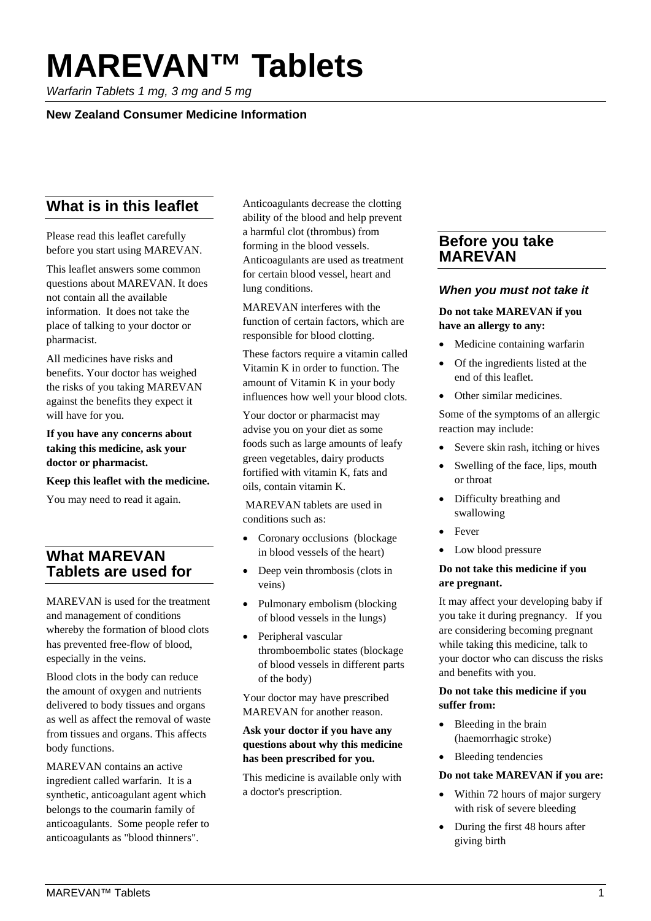# **MAREVAN™ Tablets**

*Warfarin Tablets 1 mg, 3 mg and 5 mg*

# **New Zealand Consumer Medicine Information**

# **What is in this leaflet**

Please read this leaflet carefully before you start using MAREVAN.

This leaflet answers some common questions about MAREVAN. It does not contain all the available information. It does not take the place of talking to your doctor or pharmacist.

All medicines have risks and benefits. Your doctor has weighed the risks of you taking MAREVAN against the benefits they expect it will have for you.

**If you have any concerns about taking this medicine, ask your doctor or pharmacist.** 

#### **Keep this leaflet with the medicine.**

You may need to read it again.

# **What MAREVAN Tablets are used for**

MAREVAN is used for the treatment and management of conditions whereby the formation of blood clots has prevented free-flow of blood, especially in the veins.

Blood clots in the body can reduce the amount of oxygen and nutrients delivered to body tissues and organs as well as affect the removal of waste from tissues and organs. This affects body functions.

MAREVAN contains an active ingredient called warfarin. It is a synthetic, anticoagulant agent which belongs to the coumarin family of anticoagulants. Some people refer to anticoagulants as "blood thinners".

Anticoagulants decrease the clotting ability of the blood and help prevent a harmful clot (thrombus) from forming in the blood vessels. Anticoagulants are used as treatment for certain blood vessel, heart and lung conditions.

MAREVAN interferes with the function of certain factors, which are responsible for blood clotting.

These factors require a vitamin called Vitamin K in order to function. The amount of Vitamin K in your body influences how well your blood clots.

Your doctor or pharmacist may advise you on your diet as some foods such as large amounts of leafy green vegetables, dairy products fortified with vitamin K, fats and oils, contain vitamin K.

MAREVAN tablets are used in conditions such as:

- Coronary occlusions (blockage in blood vessels of the heart)
- Deep vein thrombosis (clots in veins)
- Pulmonary embolism (blocking of blood vessels in the lungs)
- Peripheral vascular thromboembolic states (blockage of blood vessels in different parts of the body)

Your doctor may have prescribed MAREVAN for another reason.

## **Ask your doctor if you have any questions about why this medicine has been prescribed for you.**

This medicine is available only with a doctor's prescription.

# **Before you take MAREVAN**

# *When you must not take it*

### **Do not take MAREVAN if you have an allergy to any:**

- Medicine containing warfarin
- Of the ingredients listed at the end of this leaflet.
- Other similar medicines.

Some of the symptoms of an allergic reaction may include:

- Severe skin rash, itching or hives
- Swelling of the face, lips, mouth or throat
- Difficulty breathing and swallowing
- **Fever**
- Low blood pressure

#### **Do not take this medicine if you are pregnant.**

It may affect your developing baby if you take it during pregnancy. If you are considering becoming pregnant while taking this medicine, talk to your doctor who can discuss the risks and benefits with you.

### **Do not take this medicine if you suffer from:**

- Bleeding in the brain (haemorrhagic stroke)
- Bleeding tendencies

#### **Do not take MAREVAN if you are:**

- Within 72 hours of major surgery with risk of severe bleeding
- During the first 48 hours after giving birth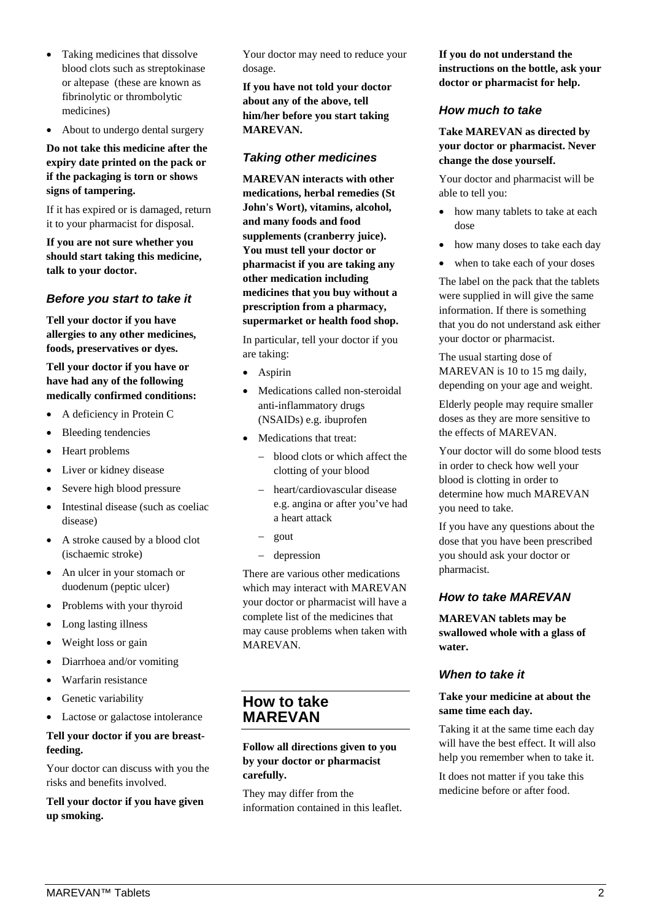- Taking medicines that dissolve blood clots such as streptokinase or altepase (these are known as fibrinolytic or thrombolytic medicines)
- About to undergo dental surgery

### **Do not take this medicine after the expiry date printed on the pack or if the packaging is torn or shows signs of tampering.**

If it has expired or is damaged, return it to your pharmacist for disposal.

**If you are not sure whether you should start taking this medicine, talk to your doctor.** 

#### *Before you start to take it*

**Tell your doctor if you have allergies to any other medicines, foods, preservatives or dyes.** 

**Tell your doctor if you have or have had any of the following medically confirmed conditions:**

- A deficiency in Protein C
- Bleeding tendencies
- Heart problems
- Liver or kidney disease
- Severe high blood pressure
- Intestinal disease (such as coeliac disease)
- A stroke caused by a blood clot (ischaemic stroke)
- An ulcer in your stomach or duodenum (peptic ulcer)
- Problems with your thyroid
- Long lasting illness
- Weight loss or gain
- Diarrhoea and/or vomiting
- Warfarin resistance
- Genetic variability
- Lactose or galactose intolerance

#### **Tell your doctor if you are breastfeeding.**

Your doctor can discuss with you the risks and benefits involved.

#### **Tell your doctor if you have given up smoking.**

Your doctor may need to reduce your dosage.

**If you have not told your doctor about any of the above, tell him/her before you start taking MAREVAN.**

## *Taking other medicines*

**MAREVAN interacts with other medications, herbal remedies (St John's Wort), vitamins, alcohol, and many foods and food supplements (cranberry juice). You must tell your doctor or pharmacist if you are taking any other medication including medicines that you buy without a prescription from a pharmacy, supermarket or health food shop.**

In particular, tell your doctor if you are taking:

- Aspirin
- Medications called non-steroidal anti-inflammatory drugs (NSAIDs) e.g. ibuprofen
- Medications that treat:
	- − blood clots or which affect the clotting of your blood
	- − heart/cardiovascular disease e.g. angina or after you've had a heart attack
	- − gout
	- − depression

There are various other medications which may interact with MAREVAN your doctor or pharmacist will have a complete list of the medicines that may cause problems when taken with MAREVAN.

# **How to take MAREVAN**

**Follow all directions given to you by your doctor or pharmacist carefully.** 

They may differ from the information contained in this leaflet. **If you do not understand the instructions on the bottle, ask your doctor or pharmacist for help.** 

## *How much to take*

**Take MAREVAN as directed by your doctor or pharmacist. Never change the dose yourself.**

Your doctor and pharmacist will be able to tell you:

- how many tablets to take at each dose
- how many doses to take each day
- when to take each of your doses

The label on the pack that the tablets were supplied in will give the same information. If there is something that you do not understand ask either your doctor or pharmacist.

The usual starting dose of MAREVAN is 10 to 15 mg daily, depending on your age and weight.

Elderly people may require smaller doses as they are more sensitive to the effects of MAREVAN.

Your doctor will do some blood tests in order to check how well your blood is clotting in order to determine how much MAREVAN you need to take.

If you have any questions about the dose that you have been prescribed you should ask your doctor or pharmacist.

#### *How to take MAREVAN*

**MAREVAN tablets may be swallowed whole with a glass of water.**

#### *When to take it*

#### **Take your medicine at about the same time each day.**

Taking it at the same time each day will have the best effect. It will also help you remember when to take it.

It does not matter if you take this medicine before or after food.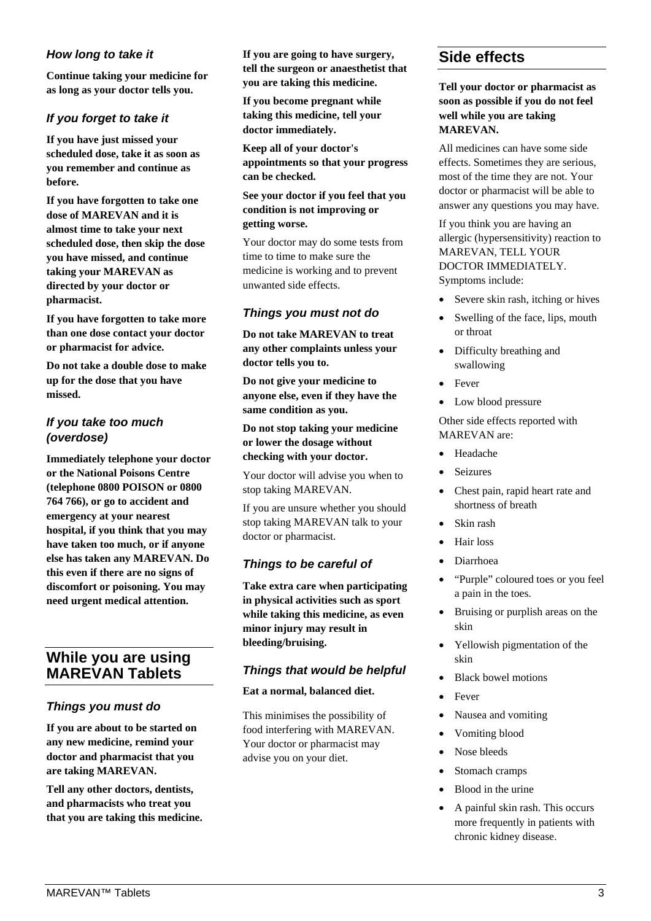# *How long to take it*

**Continue taking your medicine for as long as your doctor tells you.** 

# *If you forget to take it*

**If you have just missed your scheduled dose, take it as soon as you remember and continue as before.**

**If you have forgotten to take one dose of MAREVAN and it is almost time to take your next scheduled dose, then skip the dose you have missed, and continue taking your MAREVAN as directed by your doctor or pharmacist.**

**If you have forgotten to take more than one dose contact your doctor or pharmacist for advice.**

**Do not take a double dose to make up for the dose that you have missed.**

# *If you take too much (overdose)*

**Immediately telephone your doctor or the National Poisons Centre (telephone 0800 POISON or 0800 764 766), or go to accident and emergency at your nearest hospital, if you think that you may have taken too much, or if anyone else has taken any MAREVAN. Do this even if there are no signs of discomfort or poisoning. You may need urgent medical attention.** 

# **While you are using MAREVAN Tablets**

# *Things you must do*

**If you are about to be started on any new medicine, remind your doctor and pharmacist that you are taking MAREVAN.** 

**Tell any other doctors, dentists, and pharmacists who treat you that you are taking this medicine.**  **If you are going to have surgery, tell the surgeon or anaesthetist that you are taking this medicine.** 

**If you become pregnant while taking this medicine, tell your doctor immediately.** 

**Keep all of your doctor's appointments so that your progress can be checked.** 

#### **See your doctor if you feel that you condition is not improving or getting worse.**

Your doctor may do some tests from time to time to make sure the medicine is working and to prevent unwanted side effects.

# *Things you must not do*

**Do not take MAREVAN to treat any other complaints unless your doctor tells you to.** 

**Do not give your medicine to anyone else, even if they have the same condition as you.** 

**Do not stop taking your medicine or lower the dosage without checking with your doctor.** 

Your doctor will advise you when to stop taking MAREVAN.

If you are unsure whether you should stop taking MAREVAN talk to your doctor or pharmacist.

# *Things to be careful of*

**Take extra care when participating in physical activities such as sport while taking this medicine, as even minor injury may result in bleeding/bruising.**

# *Things that would be helpful*

#### **Eat a normal, balanced diet.**

This minimises the possibility of food interfering with MAREVAN. Your doctor or pharmacist may advise you on your diet.

# **Side effects**

**Tell your doctor or pharmacist as soon as possible if you do not feel well while you are taking MAREVAN.**

All medicines can have some side effects. Sometimes they are serious, most of the time they are not. Your doctor or pharmacist will be able to answer any questions you may have.

If you think you are having an allergic (hypersensitivity) reaction to MAREVAN, TELL YOUR DOCTOR IMMEDIATELY. Symptoms include:

- Severe skin rash, itching or hives
- Swelling of the face, lips, mouth or throat
- Difficulty breathing and swallowing
- **Fever**
- Low blood pressure

# Other side effects reported with MAREVAN are:

- Headache
- **Seizures**
- Chest pain, rapid heart rate and shortness of breath
- Skin rash
- Hair loss
- Diarrhoea
- "Purple" coloured toes or you feel a pain in the toes.
- Bruising or purplish areas on the skin
- Yellowish pigmentation of the skin
- Black bowel motions
- Fever
- Nausea and vomiting
- Vomiting blood
- Nose bleeds
- Stomach cramps
- Blood in the urine
- A painful skin rash. This occurs more frequently in patients with chronic kidney disease.